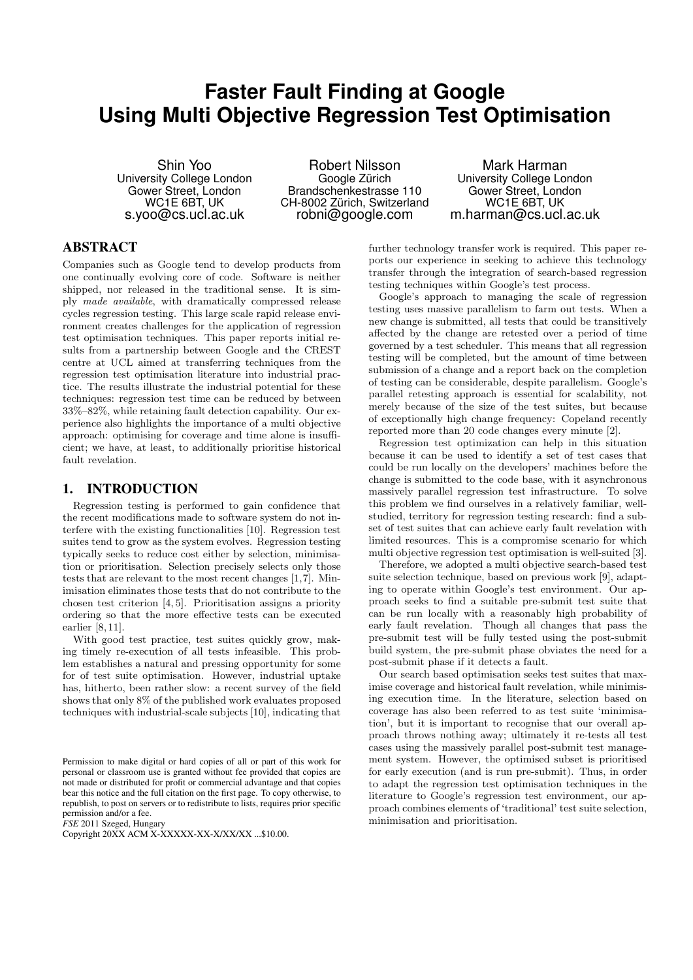# **Faster Fault Finding at Google Using Multi Objective Regression Test Optimisation**

Shin Yoo University College London Gower Street, London WC1E 6BT, UK s.yoo@cs.ucl.ac.uk

Robert Nilsson Google Zürich Brandschenkestrasse 110 CH-8002 Zürich, Switzerland robni@google.com

Mark Harman University College London Gower Street, London WC1E 6BT, UK m.harman@cs.ucl.ac.uk

# ABSTRACT

Companies such as Google tend to develop products from one continually evolving core of code. Software is neither shipped, nor released in the traditional sense. It is simply made available, with dramatically compressed release cycles regression testing. This large scale rapid release environment creates challenges for the application of regression test optimisation techniques. This paper reports initial results from a partnership between Google and the CREST centre at UCL aimed at transferring techniques from the regression test optimisation literature into industrial practice. The results illustrate the industrial potential for these techniques: regression test time can be reduced by between 33%–82%, while retaining fault detection capability. Our experience also highlights the importance of a multi objective approach: optimising for coverage and time alone is insufficient; we have, at least, to additionally prioritise historical fault revelation.

#### 1. INTRODUCTION

Regression testing is performed to gain confidence that the recent modifications made to software system do not interfere with the existing functionalities [10]. Regression test suites tend to grow as the system evolves. Regression testing typically seeks to reduce cost either by selection, minimisation or prioritisation. Selection precisely selects only those tests that are relevant to the most recent changes [1,7]. Minimisation eliminates those tests that do not contribute to the chosen test criterion [4, 5]. Prioritisation assigns a priority ordering so that the more effective tests can be executed earlier [8, 11].

With good test practice, test suites quickly grow, making timely re-execution of all tests infeasible. This problem establishes a natural and pressing opportunity for some for of test suite optimisation. However, industrial uptake has, hitherto, been rather slow: a recent survey of the field shows that only 8% of the published work evaluates proposed techniques with industrial-scale subjects [10], indicating that

*FSE* 2011 Szeged, Hungary

further technology transfer work is required. This paper reports our experience in seeking to achieve this technology transfer through the integration of search-based regression testing techniques within Google's test process.

Google's approach to managing the scale of regression testing uses massive parallelism to farm out tests. When a new change is submitted, all tests that could be transitively affected by the change are retested over a period of time governed by a test scheduler. This means that all regression testing will be completed, but the amount of time between submission of a change and a report back on the completion of testing can be considerable, despite parallelism. Google's parallel retesting approach is essential for scalability, not merely because of the size of the test suites, but because of exceptionally high change frequency: Copeland recently reported more than 20 code changes every minute [2].

Regression test optimization can help in this situation because it can be used to identify a set of test cases that could be run locally on the developers' machines before the change is submitted to the code base, with it asynchronous massively parallel regression test infrastructure. To solve this problem we find ourselves in a relatively familiar, wellstudied, territory for regression testing research: find a subset of test suites that can achieve early fault revelation with limited resources. This is a compromise scenario for which multi objective regression test optimisation is well-suited [3].

Therefore, we adopted a multi objective search-based test suite selection technique, based on previous work [9], adapting to operate within Google's test environment. Our approach seeks to find a suitable pre-submit test suite that can be run locally with a reasonably high probability of early fault revelation. Though all changes that pass the pre-submit test will be fully tested using the post-submit build system, the pre-submit phase obviates the need for a post-submit phase if it detects a fault.

Our search based optimisation seeks test suites that maximise coverage and historical fault revelation, while minimising execution time. In the literature, selection based on coverage has also been referred to as test suite 'minimisation', but it is important to recognise that our overall approach throws nothing away; ultimately it re-tests all test cases using the massively parallel post-submit test management system. However, the optimised subset is prioritised for early execution (and is run pre-submit). Thus, in order to adapt the regression test optimisation techniques in the literature to Google's regression test environment, our approach combines elements of 'traditional' test suite selection, minimisation and prioritisation.

Permission to make digital or hard copies of all or part of this work for personal or classroom use is granted without fee provided that copies are not made or distributed for profit or commercial advantage and that copies bear this notice and the full citation on the first page. To copy otherwise, to republish, to post on servers or to redistribute to lists, requires prior specific permission and/or a fee.

Copyright 20XX ACM X-XXXXX-XX-X/XX/XX ...\$10.00.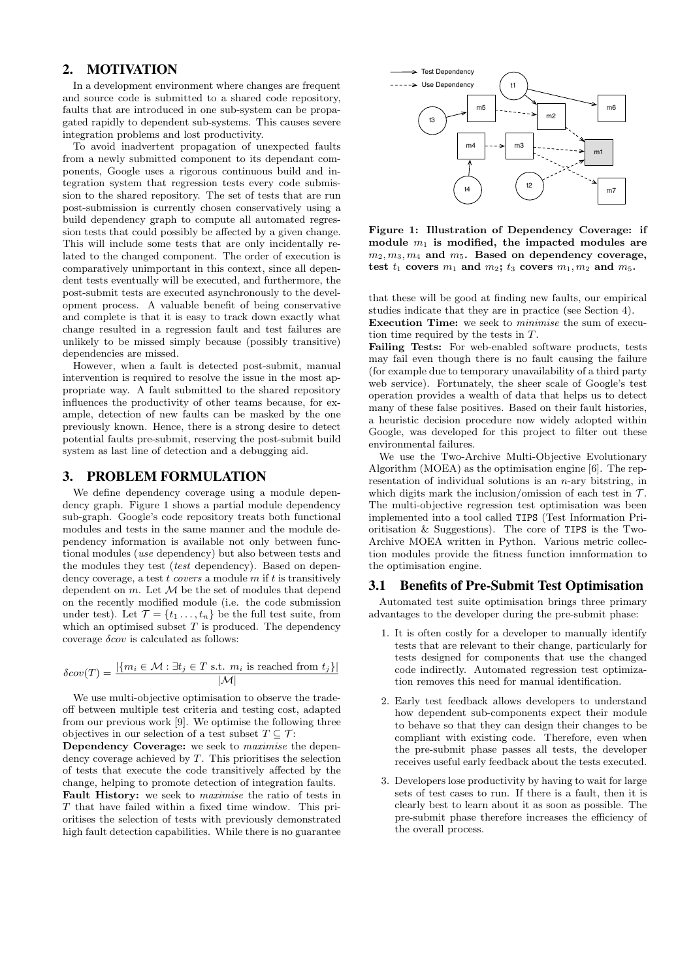# 2. MOTIVATION

In a development environment where changes are frequent and source code is submitted to a shared code repository, faults that are introduced in one sub-system can be propagated rapidly to dependent sub-systems. This causes severe integration problems and lost productivity.

To avoid inadvertent propagation of unexpected faults from a newly submitted component to its dependant components, Google uses a rigorous continuous build and integration system that regression tests every code submission to the shared repository. The set of tests that are run post-submission is currently chosen conservatively using a build dependency graph to compute all automated regression tests that could possibly be affected by a given change. This will include some tests that are only incidentally related to the changed component. The order of execution is comparatively unimportant in this context, since all dependent tests eventually will be executed, and furthermore, the post-submit tests are executed asynchronously to the development process. A valuable benefit of being conservative and complete is that it is easy to track down exactly what change resulted in a regression fault and test failures are unlikely to be missed simply because (possibly transitive) dependencies are missed.

However, when a fault is detected post-submit, manual intervention is required to resolve the issue in the most appropriate way. A fault submitted to the shared repository influences the productivity of other teams because, for example, detection of new faults can be masked by the one previously known. Hence, there is a strong desire to detect potential faults pre-submit, reserving the post-submit build system as last line of detection and a debugging aid.

#### 3. PROBLEM FORMULATION

We define dependency coverage using a module dependency graph. Figure 1 shows a partial module dependency sub-graph. Google's code repository treats both functional modules and tests in the same manner and the module dependency information is available not only between functional modules (use dependency) but also between tests and the modules they test *(test dependency)*. Based on dependency coverage, a test  $t$  covers a module  $m$  if  $t$  is transitively dependent on  $m$ . Let  $\mathcal M$  be the set of modules that depend on the recently modified module (i.e. the code submission under test). Let  $\mathcal{T} = \{t_1, \ldots, t_n\}$  be the full test suite, from which an optimised subset  $T$  is produced. The dependency coverage  $\delta cov$  is calculated as follows:

$$
\delta cov(T) = \frac{|\{m_i \in \mathcal{M} : \exists t_j \in T \text{ s.t. } m_i \text{ is reached from } t_j\}|}{|\mathcal{M}|}
$$

We use multi-objective optimisation to observe the tradeoff between multiple test criteria and testing cost, adapted from our previous work [9]. We optimise the following three objectives in our selection of a test subset  $T \subseteq \mathcal{T}$ :

Dependency Coverage: we seek to maximise the dependency coverage achieved by  $T$ . This prioritises the selection of tests that execute the code transitively affected by the change, helping to promote detection of integration faults.

Fault History: we seek to *maximise* the ratio of tests in T that have failed within a fixed time window. This prioritises the selection of tests with previously demonstrated high fault detection capabilities. While there is no guarantee



Figure 1: Illustration of Dependency Coverage: if module  $m_1$  is modified, the impacted modules are  $m_2, m_3, m_4$  and  $m_5$ . Based on dependency coverage, test  $t_1$  covers  $m_1$  and  $m_2$ ;  $t_3$  covers  $m_1, m_2$  and  $m_5$ .

that these will be good at finding new faults, our empirical studies indicate that they are in practice (see Section 4).

Execution Time: we seek to minimise the sum of execution time required by the tests in T.

Failing Tests: For web-enabled software products, tests may fail even though there is no fault causing the failure (for example due to temporary unavailability of a third party web service). Fortunately, the sheer scale of Google's test operation provides a wealth of data that helps us to detect many of these false positives. Based on their fault histories, a heuristic decision procedure now widely adopted within Google, was developed for this project to filter out these environmental failures.

We use the Two-Archive Multi-Objective Evolutionary Algorithm (MOEA) as the optimisation engine [6]. The representation of individual solutions is an  $n$ -ary bitstring, in which digits mark the inclusion/omission of each test in  $\mathcal{T}$ . The multi-objective regression test optimisation was been implemented into a tool called TIPS (Test Information Prioritisation & Suggestions). The core of TIPS is the Two-Archive MOEA written in Python. Various metric collection modules provide the fitness function imnformation to the optimisation engine.

#### 3.1 Benefits of Pre-Submit Test Optimisation

Automated test suite optimisation brings three primary advantages to the developer during the pre-submit phase:

- 1. It is often costly for a developer to manually identify tests that are relevant to their change, particularly for tests designed for components that use the changed code indirectly. Automated regression test optimization removes this need for manual identification.
- 2. Early test feedback allows developers to understand how dependent sub-components expect their module to behave so that they can design their changes to be compliant with existing code. Therefore, even when the pre-submit phase passes all tests, the developer receives useful early feedback about the tests executed.
- 3. Developers lose productivity by having to wait for large sets of test cases to run. If there is a fault, then it is clearly best to learn about it as soon as possible. The pre-submit phase therefore increases the efficiency of the overall process.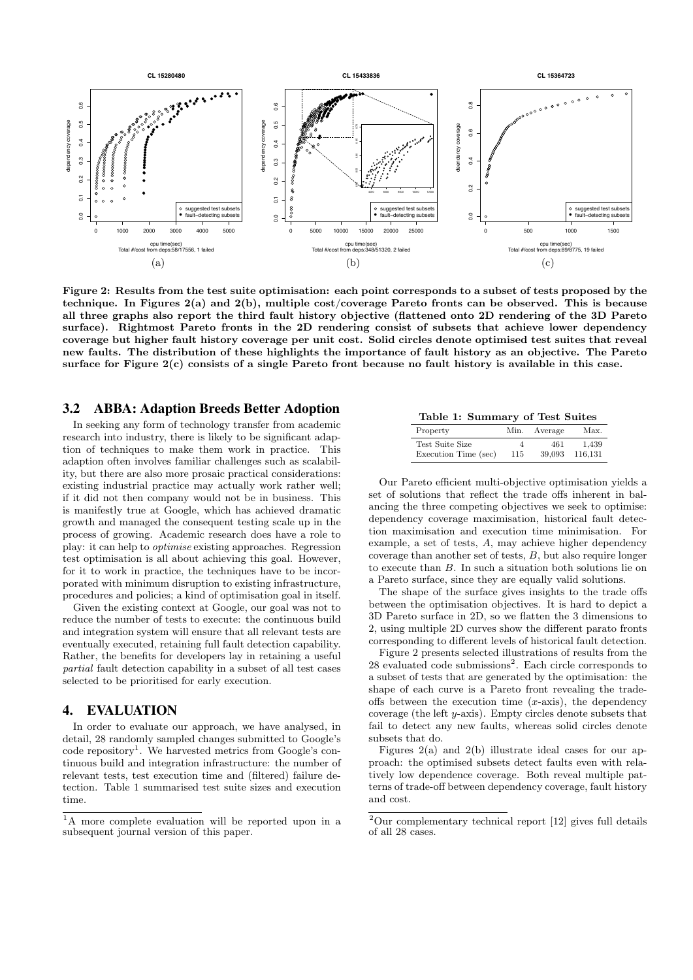

Figure 2: Results from the test suite optimisation: each point corresponds to a subset of tests proposed by the technique. In Figures 2(a) and 2(b), multiple cost/coverage Pareto fronts can be observed. This is because all three graphs also report the third fault history objective (flattened onto 2D rendering of the 3D Pareto surface). Rightmost Pareto fronts in the 2D rendering consist of subsets that achieve lower dependency coverage but higher fault history coverage per unit cost. Solid circles denote optimised test suites that reveal new faults. The distribution of these highlights the importance of fault history as an objective. The Pareto surface for Figure 2(c) consists of a single Pareto front because no fault history is available in this case.

#### 3.2 ABBA: Adaption Breeds Better Adoption

In seeking any form of technology transfer from academic research into industry, there is likely to be significant adaption of techniques to make them work in practice. This adaption often involves familiar challenges such as scalability, but there are also more prosaic practical considerations: existing industrial practice may actually work rather well; if it did not then company would not be in business. This is manifestly true at Google, which has achieved dramatic growth and managed the consequent testing scale up in the process of growing. Academic research does have a role to play: it can help to optimise existing approaches. Regression test optimisation is all about achieving this goal. However, for it to work in practice, the techniques have to be incorporated with minimum disruption to existing infrastructure, procedures and policies; a kind of optimisation goal in itself.

Given the existing context at Google, our goal was not to reduce the number of tests to execute: the continuous build and integration system will ensure that all relevant tests are eventually executed, retaining full fault detection capability. Rather, the benefits for developers lay in retaining a useful partial fault detection capability in a subset of all test cases selected to be prioritised for early execution.

# 4. EVALUATION

In order to evaluate our approach, we have analysed, in detail, 28 randomly sampled changes submitted to Google's code repository<sup>1</sup>. We harvested metrics from Google's continuous build and integration infrastructure: the number of relevant tests, test execution time and (filtered) failure detection. Table 1 summarised test suite sizes and execution time.

#### Table 1: Summary of Test Suites

| Property             | Min. | Average | Max.    |
|----------------------|------|---------|---------|
| Test Suite Size      | 4    | 461     | 1,439   |
| Execution Time (sec) | 115  | 39,093  | 116.131 |

Our Pareto efficient multi-objective optimisation yields a set of solutions that reflect the trade offs inherent in balancing the three competing objectives we seek to optimise: dependency coverage maximisation, historical fault detection maximisation and execution time minimisation. For example, a set of tests, A, may achieve higher dependency coverage than another set of tests, B, but also require longer to execute than B. In such a situation both solutions lie on a Pareto surface, since they are equally valid solutions.

The shape of the surface gives insights to the trade offs between the optimisation objectives. It is hard to depict a 3D Pareto surface in 2D, so we flatten the 3 dimensions to 2, using multiple 2D curves show the different parato fronts corresponding to different levels of historical fault detection.

Figure 2 presents selected illustrations of results from the 28 evaluated code submissions<sup>2</sup>. Each circle corresponds to a subset of tests that are generated by the optimisation: the shape of each curve is a Pareto front revealing the tradeoffs between the execution time  $(x\text{-axis})$ , the dependency coverage (the left y-axis). Empty circles denote subsets that fail to detect any new faults, whereas solid circles denote subsets that do.

Figures  $2(a)$  and  $2(b)$  illustrate ideal cases for our approach: the optimised subsets detect faults even with relatively low dependence coverage. Both reveal multiple patterns of trade-off between dependency coverage, fault history and cost.

<sup>1</sup>A more complete evaluation will be reported upon in a subsequent journal version of this paper.

 $2$ Our complementary technical report [12] gives full details of all 28 cases.